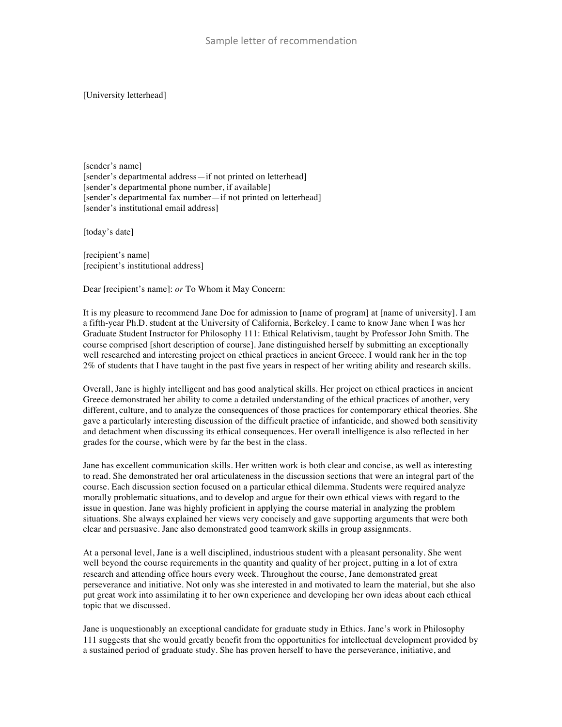[University letterhead]

[sender's name] [sender's departmental address—if not printed on letterhead] [sender's departmental phone number, if available] [sender's departmental fax number—if not printed on letterhead] [sender's institutional email address]

[today's date]

[recipient's name] [recipient's institutional address]

Dear [recipient's name]: *or* To Whom it May Concern:

It is my pleasure to recommend Jane Doe for admission to [name of program] at [name of university]. I am a fifth-year Ph.D. student at the University of California, Berkeley. I came to know Jane when I was her Graduate Student Instructor for Philosophy 111: Ethical Relativism, taught by Professor John Smith. The course comprised [short description of course]. Jane distinguished herself by submitting an exceptionally well researched and interesting project on ethical practices in ancient Greece. I would rank her in the top 2% of students that I have taught in the past five years in respect of her writing ability and research skills.

Overall, Jane is highly intelligent and has good analytical skills. Her project on ethical practices in ancient Greece demonstrated her ability to come a detailed understanding of the ethical practices of another, very different, culture, and to analyze the consequences of those practices for contemporary ethical theories. She gave a particularly interesting discussion of the difficult practice of infanticide, and showed both sensitivity and detachment when discussing its ethical consequences. Her overall intelligence is also reflected in her grades for the course, which were by far the best in the class.

Jane has excellent communication skills. Her written work is both clear and concise, as well as interesting to read. She demonstrated her oral articulateness in the discussion sections that were an integral part of the course. Each discussion section focused on a particular ethical dilemma. Students were required analyze morally problematic situations, and to develop and argue for their own ethical views with regard to the issue in question. Jane was highly proficient in applying the course material in analyzing the problem situations. She always explained her views very concisely and gave supporting arguments that were both clear and persuasive. Jane also demonstrated good teamwork skills in group assignments.

At a personal level, Jane is a well disciplined, industrious student with a pleasant personality. She went well beyond the course requirements in the quantity and quality of her project, putting in a lot of extra research and attending office hours every week. Throughout the course, Jane demonstrated great perseverance and initiative. Not only was she interested in and motivated to learn the material, but she also put great work into assimilating it to her own experience and developing her own ideas about each ethical topic that we discussed.

Jane is unquestionably an exceptional candidate for graduate study in Ethics. Jane's work in Philosophy 111 suggests that she would greatly benefit from the opportunities for intellectual development provided by a sustained period of graduate study. She has proven herself to have the perseverance, initiative, and